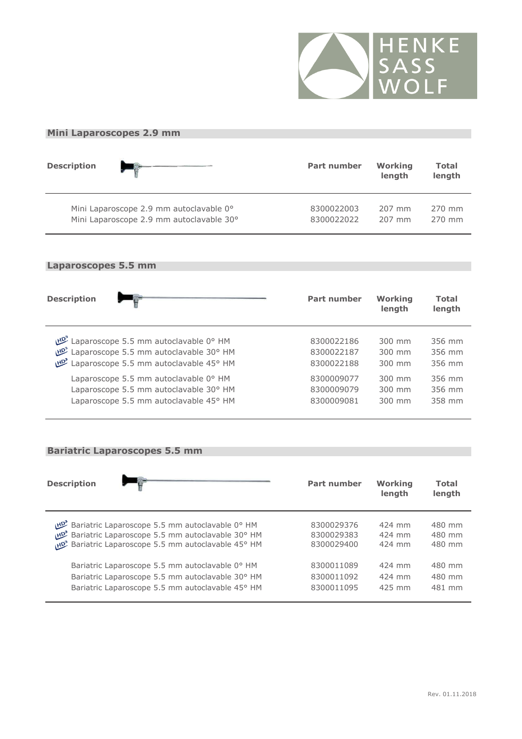

### **Mini Laparoscopes 2.9 mm**

| <b>Description</b> |                                          | <b>Part number</b> | Working<br>length | <b>Total</b><br>length |
|--------------------|------------------------------------------|--------------------|-------------------|------------------------|
|                    | Mini Laparoscope 2.9 mm autoclavable 0°  | 8300022003         | 207 mm            | 270 mm                 |
|                    | Mini Laparoscope 2.9 mm autoclavable 30° | 8300022022         | 207 mm            | 270 mm                 |

### **Laparoscopes 5.5 mm**

| <b>Description</b>                                    | <b>Part number</b> | Working<br>length | <b>Total</b><br>length |
|-------------------------------------------------------|--------------------|-------------------|------------------------|
| Laparoscope 5.5 mm autoclavable 0° HM                 | 8300022186         | 300 mm            | 356 mm                 |
| <sup>201</sup> Laparoscope 5.5 mm autoclavable 30° HM | 8300022187         | $300 \text{ mm}$  | 356 mm                 |
| <sup>264</sup> Laparoscope 5.5 mm autoclavable 45° HM | 8300022188         | $300 \text{ mm}$  | 356 mm                 |
| Laparoscope 5.5 mm autoclavable 0° HM                 | 8300009077         | 300 mm            | 356 mm                 |
| Laparoscope 5.5 mm autoclavable 30° HM                | 8300009079         | $300 \text{ mm}$  | 356 mm                 |
| Laparoscope 5.5 mm autoclavable 45° HM                | 8300009081         | $300 \text{ mm}$  | 358 mm                 |

### **Bariatric Laparoscopes 5.5 mm**

| <b>Description</b>                                     | <b>Part number</b> | Working<br>length | <b>Total</b><br>length |
|--------------------------------------------------------|--------------------|-------------------|------------------------|
| <b>Ваriatric Laparoscope 5.5 mm autoclavable 0° HM</b> | 8300029376         | 424 mm            | 480 mm                 |
| Bariatric Laparoscope 5.5 mm autoclavable 30° HM       | 8300029383         | 424 mm            | 480 mm                 |
| Bariatric Laparoscope 5.5 mm autoclavable 45° HM       | 8300029400         | 424 mm            | 480 mm                 |
| Bariatric Laparoscope 5.5 mm autoclavable 0° HM        | 8300011089         | 424 mm            | 480 mm                 |
| Bariatric Laparoscope 5.5 mm autoclavable 30° HM       | 8300011092         | 424 mm            | 480 mm                 |
| Bariatric Laparoscope 5.5 mm autoclavable 45° HM       | 8300011095         | 425 mm            | 481 mm                 |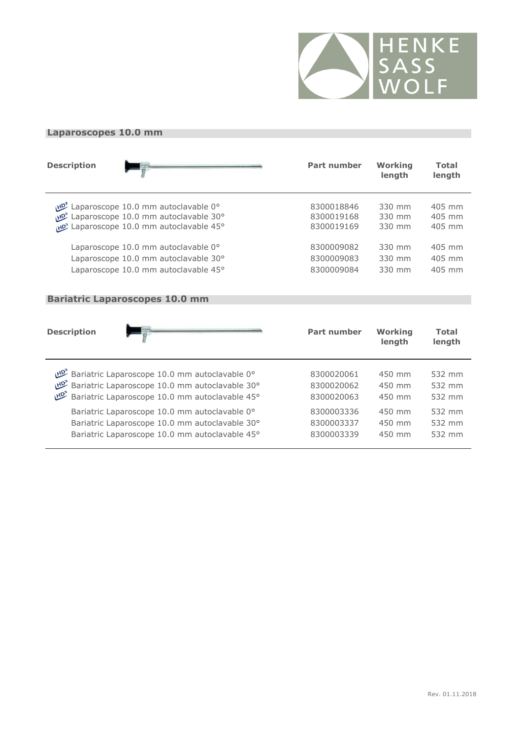

### **Laparoscopes 10.0 mm**

| <b>Description</b> |                                      | <b>Part number</b> | Working<br>length | <b>Total</b><br>length |
|--------------------|--------------------------------------|--------------------|-------------------|------------------------|
|                    | Laparoscope 10.0 mm autoclavable 0°  | 8300018846         | 330 mm            | 405 mm                 |
|                    | Laparoscope 10.0 mm autoclavable 30° | 8300019168         | 330 mm            | 405 mm                 |
|                    | Laparoscope 10.0 mm autoclavable 45° | 8300019169         | 330 mm            | 405 mm                 |
|                    | Laparoscope 10.0 mm autoclavable 0°  | 8300009082         | 330 mm            | 405 mm                 |
|                    | Laparoscope 10.0 mm autoclavable 30° | 8300009083         | 330 mm            | 405 mm                 |
|                    | Laparoscope 10.0 mm autoclavable 45° | 8300009084         | 330 mm            | 405 mm                 |

#### **Bariatric Laparoscopes 10.0 mm**

| <b>Description</b> |                                                | <b>Part number</b> | Working<br>length | <b>Total</b><br>length |
|--------------------|------------------------------------------------|--------------------|-------------------|------------------------|
|                    | Bariatric Laparoscope 10.0 mm autoclavable 0°  | 8300020061         | $450$ mm          | 532 mm                 |
|                    | Bariatric Laparoscope 10.0 mm autoclavable 30° | 8300020062         | 450 mm            | 532 mm                 |
|                    | Bariatric Laparoscope 10.0 mm autoclavable 45° | 8300020063         | 450 mm            | 532 mm                 |
|                    | Bariatric Laparoscope 10.0 mm autoclavable 0°  | 8300003336         | 450 mm            | 532 mm                 |
|                    | Bariatric Laparoscope 10.0 mm autoclavable 30° | 8300003337         | 450 mm            | 532 mm                 |
|                    | Bariatric Laparoscope 10.0 mm autoclavable 45° | 8300003339         | 450 mm            | 532 mm                 |